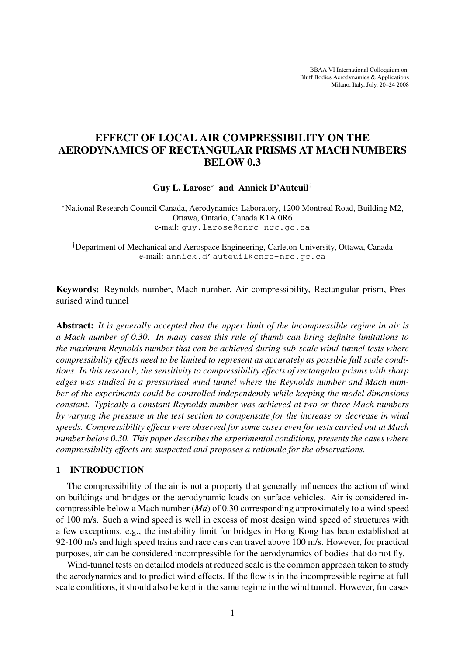BBAA VI International Colloquium on: Bluff Bodies Aerodynamics & Applications Milano, Italy, July, 20–24 2008

# EFFECT OF LOCAL AIR COMPRESSIBILITY ON THE AERODYNAMICS OF RECTANGULAR PRISMS AT MACH NUMBERS BELOW 0.3

Guy L. Larose\* and Annick D'Auteuil<sup>†</sup>

?National Research Council Canada, Aerodynamics Laboratory, 1200 Montreal Road, Building M2, Ottawa, Ontario, Canada K1A 0R6 e-mail: guy.larose@cnrc-nrc.gc.ca

†Department of Mechanical and Aerospace Engineering, Carleton University, Ottawa, Canada e-mail: annick.d'auteuil@cnrc-nrc.gc.ca

Keywords: Reynolds number, Mach number, Air compressibility, Rectangular prism, Pressurised wind tunnel

Abstract: *It is generally accepted that the upper limit of the incompressible regime in air is a Mach number of 0.30. In many cases this rule of thumb can bring definite limitations to the maximum Reynolds number that can be achieved during sub-scale wind-tunnel tests where compressibility effects need to be limited to represent as accurately as possible full scale conditions. In this research, the sensitivity to compressibility effects of rectangular prisms with sharp edges was studied in a pressurised wind tunnel where the Reynolds number and Mach number of the experiments could be controlled independently while keeping the model dimensions constant. Typically a constant Reynolds number was achieved at two or three Mach numbers by varying the pressure in the test section to compensate for the increase or decrease in wind speeds. Compressibility effects were observed for some cases even for tests carried out at Mach number below 0.30. This paper describes the experimental conditions, presents the cases where compressibility effects are suspected and proposes a rationale for the observations.*

# 1 INTRODUCTION

The compressibility of the air is not a property that generally influences the action of wind on buildings and bridges or the aerodynamic loads on surface vehicles. Air is considered incompressible below a Mach number (*Ma*) of 0.30 corresponding approximately to a wind speed of 100 m/s. Such a wind speed is well in excess of most design wind speed of structures with a few exceptions, e.g., the instability limit for bridges in Hong Kong has been established at 92-100 m/s and high speed trains and race cars can travel above 100 m/s. However, for practical purposes, air can be considered incompressible for the aerodynamics of bodies that do not fly.

Wind-tunnel tests on detailed models at reduced scale is the common approach taken to study the aerodynamics and to predict wind effects. If the flow is in the incompressible regime at full scale conditions, it should also be kept in the same regime in the wind tunnel. However, for cases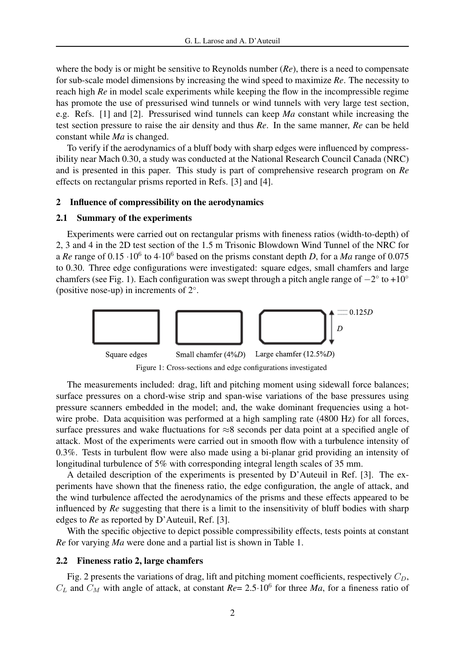where the body is or might be sensitive to Reynolds number (*Re*), there is a need to compensate for sub-scale model dimensions by increasing the wind speed to maximize *Re*. The necessity to reach high *Re* in model scale experiments while keeping the flow in the incompressible regime has promote the use of pressurised wind tunnels or wind tunnels with very large test section, e.g. Refs. [1] and [2]. Pressurised wind tunnels can keep *Ma* constant while increasing the test section pressure to raise the air density and thus *Re*. In the same manner, *Re* can be held constant while *Ma* is changed.

To verify if the aerodynamics of a bluff body with sharp edges were influenced by compressibility near Mach 0.30, a study was conducted at the National Research Council Canada (NRC) and is presented in this paper. This study is part of comprehensive research program on *Re* effects on rectangular prisms reported in Refs. [3] and [4].

## 2 Influence of compressibility on the aerodynamics

### 2.1 Summary of the experiments

Experiments were carried out on rectangular prisms with fineness ratios (width-to-depth) of 2, 3 and 4 in the 2D test section of the 1.5 m Trisonic Blowdown Wind Tunnel of the NRC for a *Re* range of 0.15  $\cdot 10^6$  to 4 $\cdot 10^6$  based on the prisms constant depth *D*, for a *Ma* range of 0.075 to 0.30. Three edge configurations were investigated: square edges, small chamfers and large chamfers (see Fig. 1). Each configuration was swept through a pitch angle range of  $-2^\circ$  to +10<sup>°</sup> (positive nose-up) in increments of 2◦ .



The measurements included: drag, lift and pitching moment using sidewall force balances; surface pressures on a chord-wise strip and span-wise variations of the base pressures using pressure scanners embedded in the model; and, the wake dominant frequencies using a hotwire probe. Data acquisition was performed at a high sampling rate (4800 Hz) for all forces, surface pressures and wake fluctuations for ≈8 seconds per data point at a specified angle of attack. Most of the experiments were carried out in smooth flow with a turbulence intensity of 0.3%. Tests in turbulent flow were also made using a bi-planar grid providing an intensity of longitudinal turbulence of 5% with corresponding integral length scales of 35 mm.

A detailed description of the experiments is presented by D'Auteuil in Ref. [3]. The experiments have shown that the fineness ratio, the edge configuration, the angle of attack, and the wind turbulence affected the aerodynamics of the prisms and these effects appeared to be influenced by *Re* suggesting that there is a limit to the insensitivity of bluff bodies with sharp edges to *Re* as reported by D'Auteuil, Ref. [3].

With the specific objective to depict possible compressibility effects, tests points at constant *Re* for varying *Ma* were done and a partial list is shown in Table 1.

# 2.2 Fineness ratio 2, large chamfers

Fig. 2 presents the variations of drag, lift and pitching moment coefficients, respectively  $C_D$ ,  $C_L$  and  $C_M$  with angle of attack, at constant  $Re = 2.5 \cdot 10^6$  for three *Ma*, for a fineness ratio of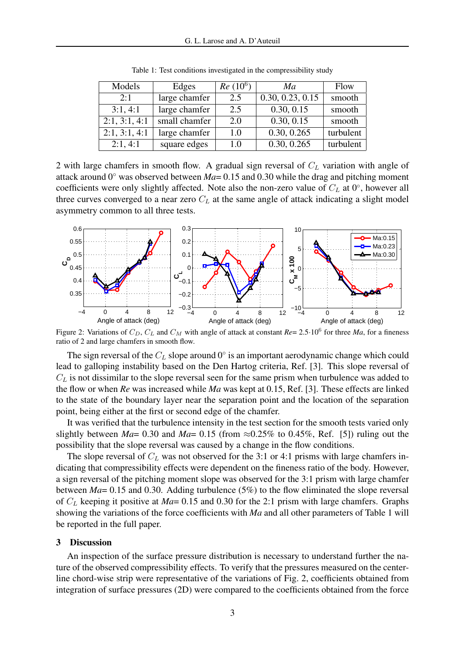| Models        | Edges         | $Re(10^6)$ | Ma               | Flow      |
|---------------|---------------|------------|------------------|-----------|
| 2:1           | large chamfer | 2.5        | 0.30, 0.23, 0.15 | smooth    |
| 3:1, 4:1      | large chamfer | 2.5        | 0.30, 0.15       | smooth    |
| 2:1, 3:1, 4:1 | small chamfer | 2.0        | 0.30, 0.15       | smooth    |
| 2:1, 3:1, 4:1 | large chamfer | 1.0        | 0.30, 0.265      | turbulent |
| 2:1, 4:1      | square edges  | 1.0        | 0.30, 0.265      | turbulent |

Table 1: Test conditions investigated in the compressibility study

2 with large chamfers in smooth flow. A gradual sign reversal of  $C_L$  variation with angle of attack around  $0°$  was observed between *Ma*= 0.15 and 0.30 while the drag and pitching moment coefficients were only slightly affected. Note also the non-zero value of  $C_L$  at 0°, however all three curves converged to a near zero  $C<sub>L</sub>$  at the same angle of attack indicating a slight model asymmetry common to all three tests.



Figure 2: Variations of  $C_D$ ,  $C_L$  and  $C_M$  with angle of attack at constant  $Re = 2.5 \cdot 10^6$  for three *Ma*, for a fineness ratio of 2 and large chamfers in smooth flow.

The sign reversal of the  $C_L$  slope around  $0^\circ$  is an important aerodynamic change which could lead to galloping instability based on the Den Hartog criteria, Ref. [3]. This slope reversal of  $C_L$  is not dissimilar to the slope reversal seen for the same prism when turbulence was added to the flow or when *Re* was increased while *Ma* was kept at 0.15, Ref. [3]. These effects are linked to the state of the boundary layer near the separation point and the location of the separation point, being either at the first or second edge of the chamfer.

It was verified that the turbulence intensity in the test section for the smooth tests varied only slightly between *Ma*= 0.30 and *Ma*= 0.15 (from  $\approx$  0.25% to 0.45%, Ref. [5]) ruling out the possibility that the slope reversal was caused by a change in the flow conditions.

The slope reversal of  $C_L$  was not observed for the 3:1 or 4:1 prisms with large chamfers indicating that compressibility effects were dependent on the fineness ratio of the body. However, a sign reversal of the pitching moment slope was observed for the 3:1 prism with large chamfer between *Ma*= 0.15 and 0.30. Adding turbulence (5%) to the flow eliminated the slope reversal of C<sup>L</sup> keeping it positive at *Ma*= 0.15 and 0.30 for the 2:1 prism with large chamfers. Graphs showing the variations of the force coefficients with *Ma* and all other parameters of Table 1 will be reported in the full paper.

## 3 Discussion

An inspection of the surface pressure distribution is necessary to understand further the nature of the observed compressibility effects. To verify that the pressures measured on the centerline chord-wise strip were representative of the variations of Fig. 2, coefficients obtained from integration of surface pressures (2D) were compared to the coefficients obtained from the force